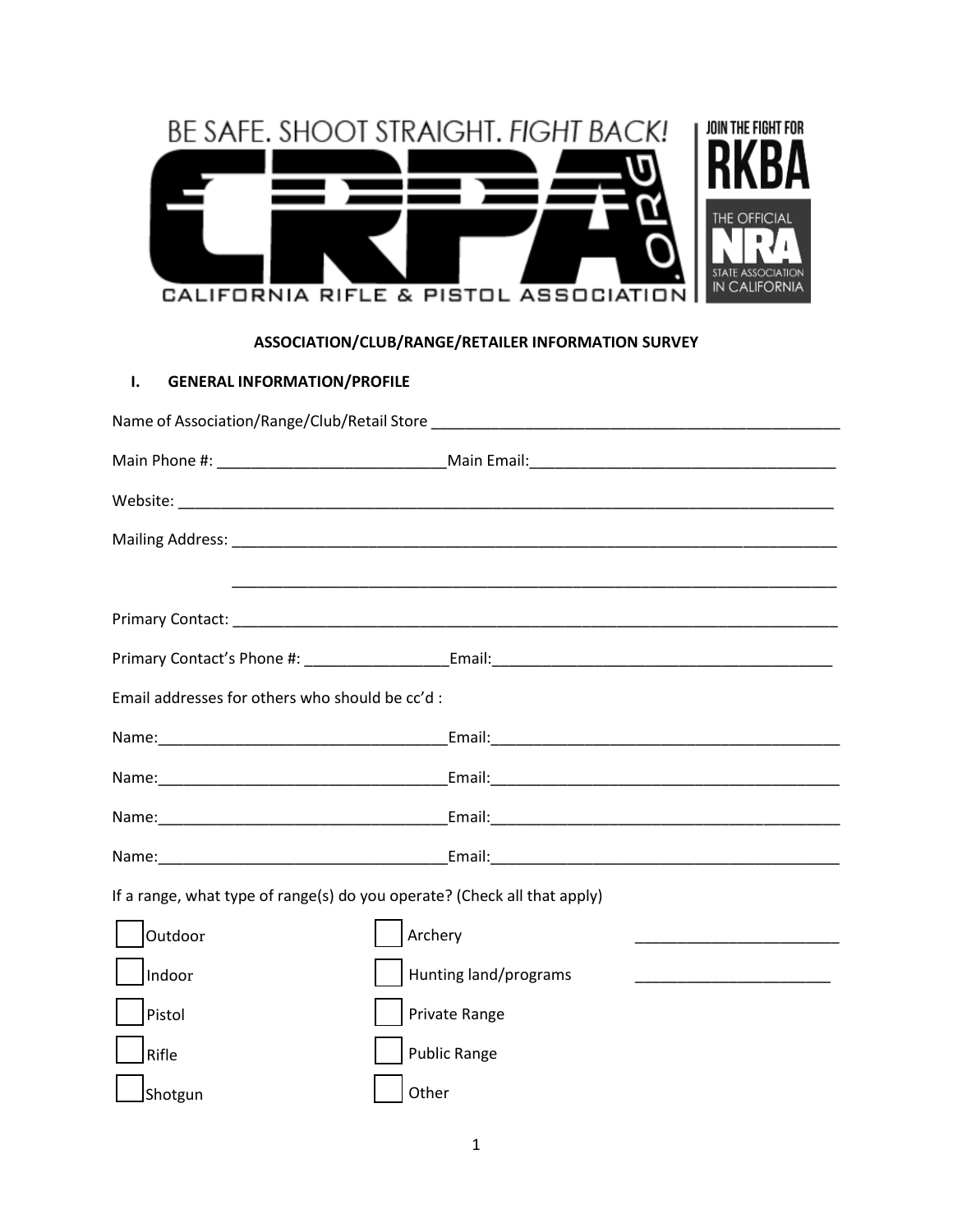| JOIN THE FIGHT FOR                                     |
|--------------------------------------------------------|
|                                                        |
| THE OFFICIAL<br>TE ASSOCIATION<br><b>IN CALIFORNIA</b> |

## **ASSOCIATION/CLUB/RANGE/RETAILER INFORMATION SURVEY**

## **I. GENERAL INFORMATION/PROFILE**

| Email addresses for others who should be cc'd:                           |                       |  |  |  |
|--------------------------------------------------------------------------|-----------------------|--|--|--|
|                                                                          |                       |  |  |  |
|                                                                          |                       |  |  |  |
|                                                                          |                       |  |  |  |
|                                                                          |                       |  |  |  |
| If a range, what type of range(s) do you operate? (Check all that apply) |                       |  |  |  |
| Outdoor                                                                  | Archery               |  |  |  |
| Indoor                                                                   | Hunting land/programs |  |  |  |
| Pistol                                                                   | Private Range         |  |  |  |
| Rifle                                                                    | <b>Public Range</b>   |  |  |  |
| Shotgun                                                                  | Other                 |  |  |  |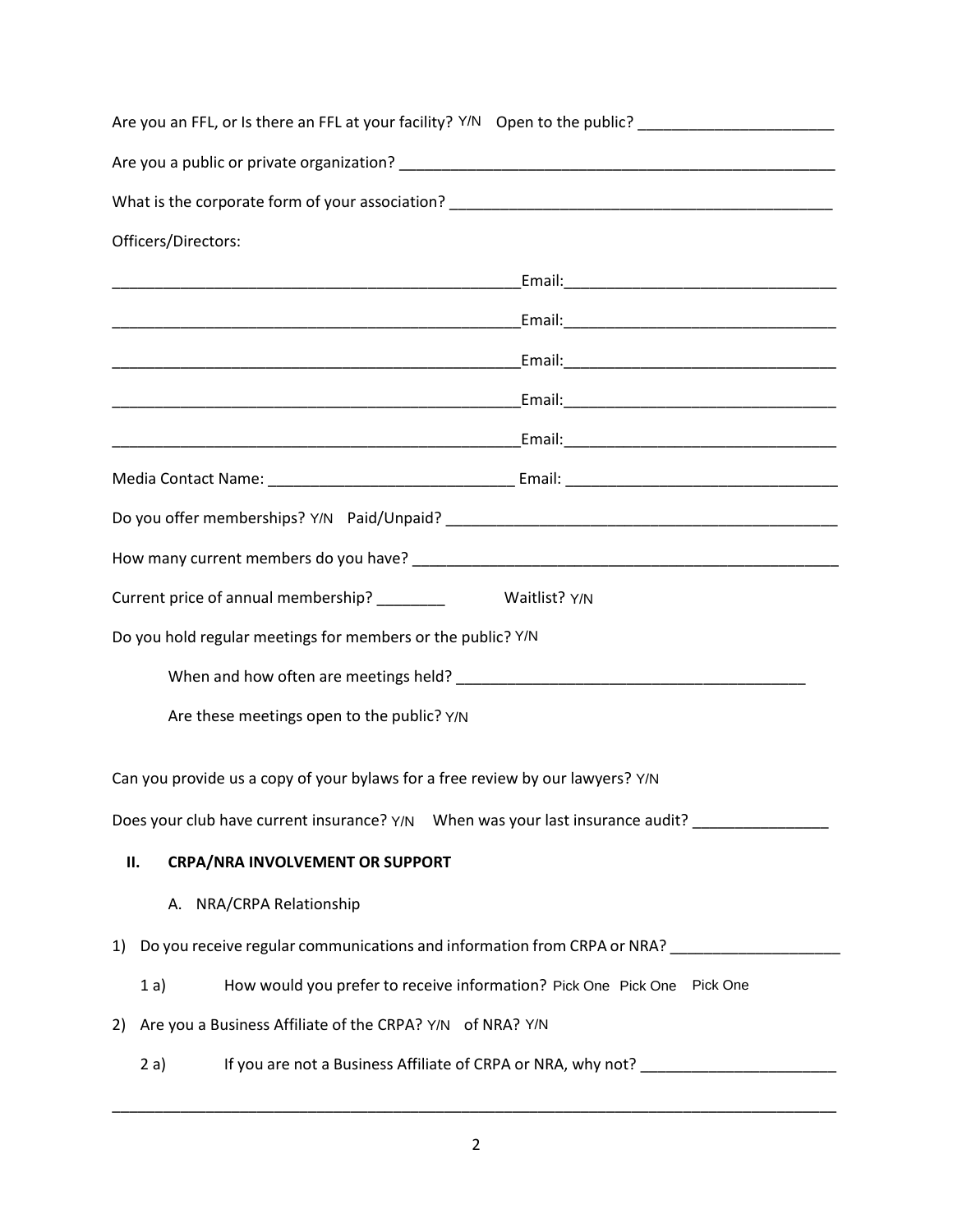| Are you an FFL, or Is there an FFL at your facility? Y/N  Open to the public? ______________________ |
|------------------------------------------------------------------------------------------------------|
|                                                                                                      |
|                                                                                                      |
| Officers/Directors:                                                                                  |
|                                                                                                      |
|                                                                                                      |
|                                                                                                      |
|                                                                                                      |
|                                                                                                      |
|                                                                                                      |
|                                                                                                      |
|                                                                                                      |
| Current price of annual membership? __________ Waitlist? Y/N                                         |
| Do you hold regular meetings for members or the public? Y/N                                          |
|                                                                                                      |
| Are these meetings open to the public? Y/N                                                           |
|                                                                                                      |
| Can you provide us a copy of your bylaws for a free review by our lawyers? Y/N                       |
| Does your club have current insurance? Y/N When was your last insurance audit?                       |
| <b>CRPA/NRA INVOLVEMENT OR SUPPORT</b><br>П.                                                         |
| A. NRA/CRPA Relationship                                                                             |
| Do you receive regular communications and information from CRPA or NRA? _____________<br>1)          |
| How would you prefer to receive information? Pick One Pick One Pick One<br>1a)                       |
| Are you a Business Affiliate of the CRPA? Y/N of NRA? Y/N<br>2)                                      |
| If you are not a Business Affiliate of CRPA or NRA, why not?<br>2a)                                  |

\_\_\_\_\_\_\_\_\_\_\_\_\_\_\_\_\_\_\_\_\_\_\_\_\_\_\_\_\_\_\_\_\_\_\_\_\_\_\_\_\_\_\_\_\_\_\_\_\_\_\_\_\_\_\_\_\_\_\_\_\_\_\_\_\_\_\_\_\_\_\_\_\_\_\_\_\_\_\_\_\_\_\_\_\_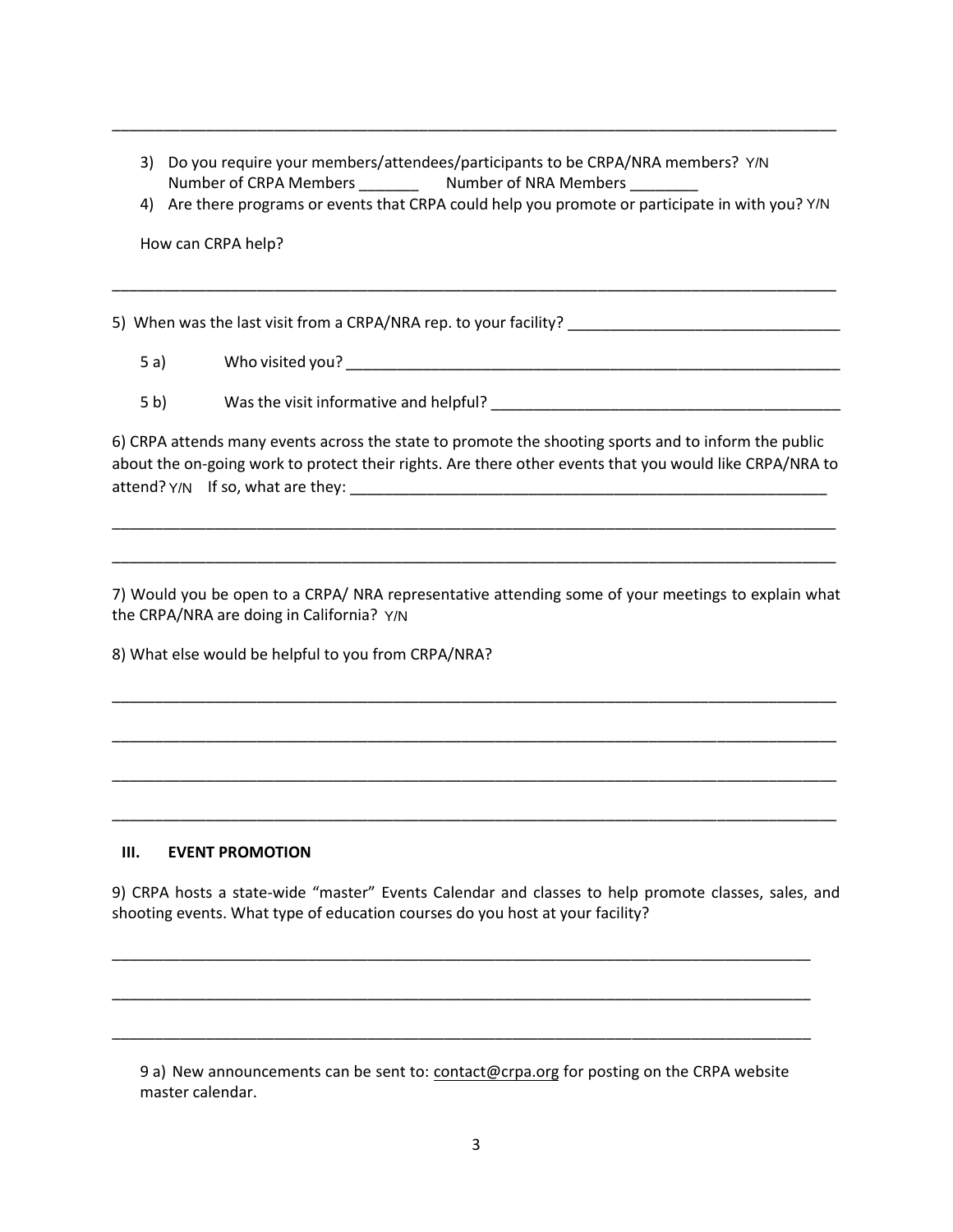3) Do you require your members/attendees/participants to be CRPA/NRA members? Y/N Number of CRPA Members **Number of NRA Members** 2014

\_\_\_\_\_\_\_\_\_\_\_\_\_\_\_\_\_\_\_\_\_\_\_\_\_\_\_\_\_\_\_\_\_\_\_\_\_\_\_\_\_\_\_\_\_\_\_\_\_\_\_\_\_\_\_\_\_\_\_\_\_\_\_\_\_\_\_\_\_\_\_\_\_\_\_\_\_\_\_\_\_\_\_\_\_

4) Are there programs or events that CRPA could help you promote or participate in with you? Y/N

\_\_\_\_\_\_\_\_\_\_\_\_\_\_\_\_\_\_\_\_\_\_\_\_\_\_\_\_\_\_\_\_\_\_\_\_\_\_\_\_\_\_\_\_\_\_\_\_\_\_\_\_\_\_\_\_\_\_\_\_\_\_\_\_\_\_\_\_\_\_\_\_\_\_\_\_\_\_\_\_\_\_\_\_\_

How can CRPA help?

5) When was the last visit from a CRPA/NRA rep. to your facility?

- 5 a) Who visited you? \_\_\_\_\_\_\_\_\_\_\_\_\_\_\_\_\_\_\_\_\_\_\_\_\_\_\_\_\_\_\_\_\_\_\_\_\_\_\_\_\_\_\_\_\_\_\_\_\_\_\_\_\_\_\_\_\_\_
- 5 b) Was the visit informative and helpful?

6) CRPA attends many events across the state to promote the shooting sports and to inform the public about the on-going work to protect their rights. Are there other events that you would like CRPA/NRA to attend? Y / N If so, what are they: \_\_\_\_\_\_\_\_\_\_\_\_\_\_\_\_\_\_\_\_\_\_\_\_\_\_\_\_\_\_\_\_\_\_\_\_\_\_\_\_\_\_\_\_\_\_\_\_\_\_\_\_\_\_\_\_ Y/N

\_\_\_\_\_\_\_\_\_\_\_\_\_\_\_\_\_\_\_\_\_\_\_\_\_\_\_\_\_\_\_\_\_\_\_\_\_\_\_\_\_\_\_\_\_\_\_\_\_\_\_\_\_\_\_\_\_\_\_\_\_\_\_\_\_\_\_\_\_\_\_\_\_\_\_\_\_\_\_\_\_\_\_\_\_

\_\_\_\_\_\_\_\_\_\_\_\_\_\_\_\_\_\_\_\_\_\_\_\_\_\_\_\_\_\_\_\_\_\_\_\_\_\_\_\_\_\_\_\_\_\_\_\_\_\_\_\_\_\_\_\_\_\_\_\_\_\_\_\_\_\_\_\_\_\_\_\_\_\_\_\_\_\_\_\_\_\_\_\_\_

7) Would you be open to a CRPA/ NRA representative attending some of your meetings to explain what the CRPA/NRA are doing in California? Y/N

\_\_\_\_\_\_\_\_\_\_\_\_\_\_\_\_\_\_\_\_\_\_\_\_\_\_\_\_\_\_\_\_\_\_\_\_\_\_\_\_\_\_\_\_\_\_\_\_\_\_\_\_\_\_\_\_\_\_\_\_\_\_\_\_\_\_\_\_\_\_\_\_\_\_\_\_\_\_\_\_\_\_\_\_\_

\_\_\_\_\_\_\_\_\_\_\_\_\_\_\_\_\_\_\_\_\_\_\_\_\_\_\_\_\_\_\_\_\_\_\_\_\_\_\_\_\_\_\_\_\_\_\_\_\_\_\_\_\_\_\_\_\_\_\_\_\_\_\_\_\_\_\_\_\_\_\_\_\_\_\_\_\_\_\_\_\_\_\_\_\_

\_\_\_\_\_\_\_\_\_\_\_\_\_\_\_\_\_\_\_\_\_\_\_\_\_\_\_\_\_\_\_\_\_\_\_\_\_\_\_\_\_\_\_\_\_\_\_\_\_\_\_\_\_\_\_\_\_\_\_\_\_\_\_\_\_\_\_\_\_\_\_\_\_\_\_\_\_\_\_\_\_\_\_\_\_

\_\_\_\_\_\_\_\_\_\_\_\_\_\_\_\_\_\_\_\_\_\_\_\_\_\_\_\_\_\_\_\_\_\_\_\_\_\_\_\_\_\_\_\_\_\_\_\_\_\_\_\_\_\_\_\_\_\_\_\_\_\_\_\_\_\_\_\_\_\_\_\_\_\_\_\_\_\_\_\_\_\_\_\_\_

8) What else would be helpful to you from CRPA/NRA?

## **III. EVENT PROMOTION**

9) CRPA hosts a state-wide "master" Events Calendar and classes to help promote classes, sales, and shooting events. What type of education courses do you host at your facility?

\_\_\_\_\_\_\_\_\_\_\_\_\_\_\_\_\_\_\_\_\_\_\_\_\_\_\_\_\_\_\_\_\_\_\_\_\_\_\_\_\_\_\_\_\_\_\_\_\_\_\_\_\_\_\_\_\_\_\_\_\_\_\_\_\_\_\_\_\_\_\_\_\_\_\_\_\_\_\_\_\_\_

\_\_\_\_\_\_\_\_\_\_\_\_\_\_\_\_\_\_\_\_\_\_\_\_\_\_\_\_\_\_\_\_\_\_\_\_\_\_\_\_\_\_\_\_\_\_\_\_\_\_\_\_\_\_\_\_\_\_\_\_\_\_\_\_\_\_\_\_\_\_\_\_\_\_\_\_\_\_\_\_\_\_

\_\_\_\_\_\_\_\_\_\_\_\_\_\_\_\_\_\_\_\_\_\_\_\_\_\_\_\_\_\_\_\_\_\_\_\_\_\_\_\_\_\_\_\_\_\_\_\_\_\_\_\_\_\_\_\_\_\_\_\_\_\_\_\_\_\_\_\_\_\_\_\_\_\_\_\_\_\_\_\_\_\_

9 a) New announcements can be sent to: [contact@crpa.org](mailto:contact@crpa.org) for posting on the CRPA website master calendar.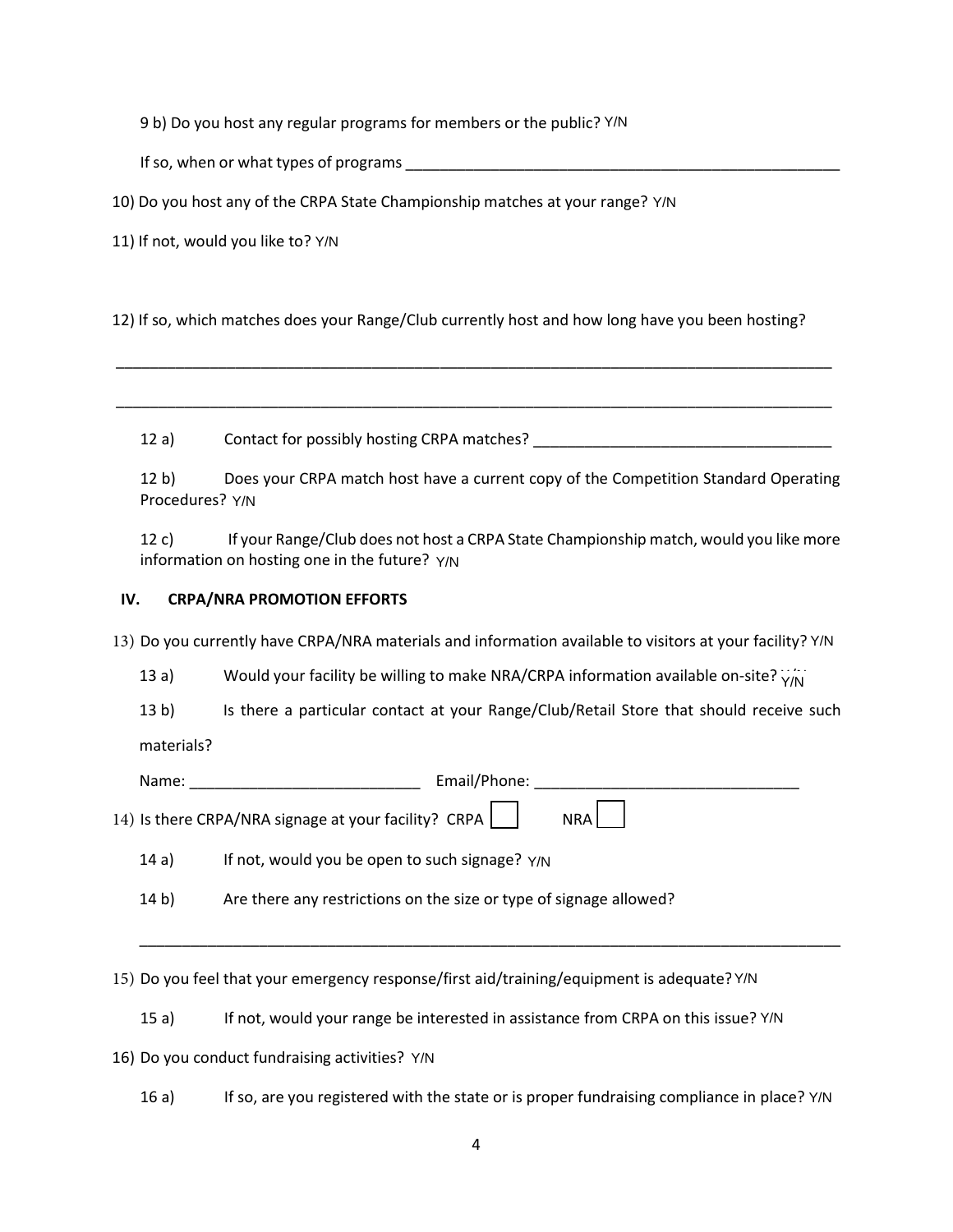9 b) Do you host any regular programs for members or the public? Y/N

If so, when or what types of programs **EXECUTE:** The solution of the set of programs  $\frac{1}{2}$ 

10) Do you host any of the CRPA State Championship matches at your range? Y/N

11) If not, would you like to? Y/N

12) If so, which matches does your Range/Club currently host and how long have you been hosting?

12 a) Contact for possibly hosting CRPA matches? \_\_\_\_\_\_\_\_\_\_\_\_\_\_\_\_\_\_\_\_\_\_\_\_\_\_\_\_\_\_\_

\_\_\_\_\_\_\_\_\_\_\_\_\_\_\_\_\_\_\_\_\_\_\_\_\_\_\_\_\_\_\_\_\_\_\_\_\_\_\_\_\_\_\_\_\_\_\_\_\_\_\_\_\_\_\_\_\_\_\_\_\_\_\_\_\_\_\_\_\_\_\_\_\_\_\_\_\_\_\_\_\_\_\_\_

\_\_\_\_\_\_\_\_\_\_\_\_\_\_\_\_\_\_\_\_\_\_\_\_\_\_\_\_\_\_\_\_\_\_\_\_\_\_\_\_\_\_\_\_\_\_\_\_\_\_\_\_\_\_\_\_\_\_\_\_\_\_\_\_\_\_\_\_\_\_\_\_\_\_\_\_\_\_\_\_\_\_\_\_

12 b) Does your CRPA match host have a current copy of the Competition Standard Operating Procedures? Y/N

## **IV. CRPA/NRA PROMOTION EFFORTS**

|     | Procedures? Y/N |                                                                                                                                       |
|-----|-----------------|---------------------------------------------------------------------------------------------------------------------------------------|
|     | 12 c)           | If your Range/Club does not host a CRPA State Championship match, would you like mor<br>information on hosting one in the future? Y/N |
| IV. |                 | <b>CRPA/NRA PROMOTION EFFORTS</b>                                                                                                     |
|     |                 | 13) Do you currently have CRPA/NRA materials and information available to visitors at your facility? Y/N                              |
|     | 13a)            | Would your facility be willing to make NRA/CRPA information available on-site? $Y/N$                                                  |
|     | 13 <sub>b</sub> | Is there a particular contact at your Range/Club/Retail Store that should receive suc                                                 |
|     | materials?      |                                                                                                                                       |
|     |                 |                                                                                                                                       |
|     |                 | 14) Is there CRPA/NRA signage at your facility? CRPA<br>NRA                                                                           |
|     | 14a)            | If not, would you be open to such signage? $Y/N$                                                                                      |
|     | 14 b)           | Are there any restrictions on the size or type of signage allowed?                                                                    |
|     |                 | 15) Do you feel that your emergency response/first aid/training/equipment is adequate? Y/N                                            |
|     | 15a)            | If not, would your range be interested in assistance from CRPA on this issue? Y/N                                                     |
|     |                 | 16) Do you conduct fundraising activities? Y/N                                                                                        |
|     | 16a)            | If so, are you registered with the state or is proper fundraising compliance in place? Y/N                                            |